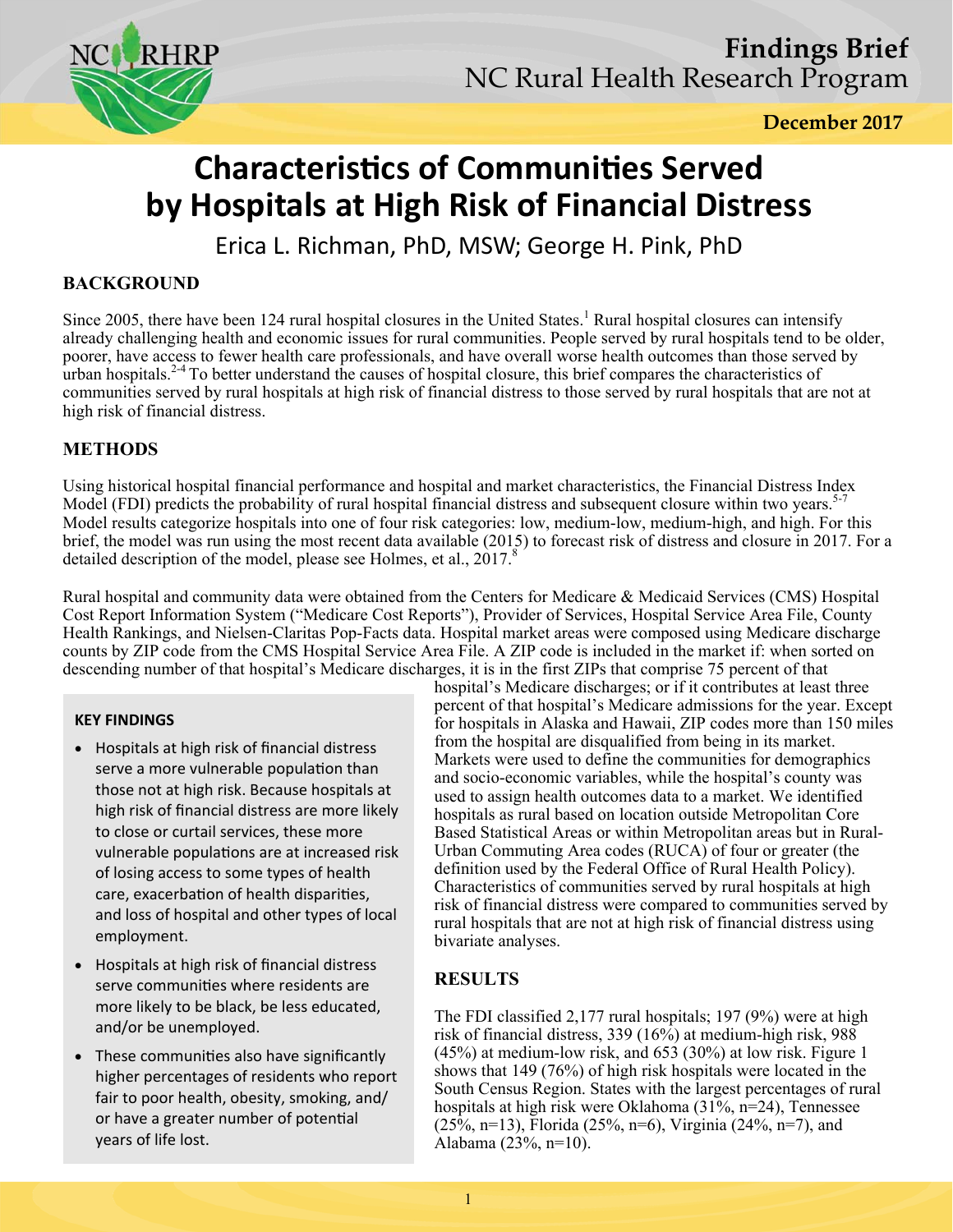

**December 2017** 

# **Characteristics of Communities Served by Hospitals at High Risk of Financial Distress**

Erica L. Richman, PhD, MSW; George H. Pink, PhD

## **BACKGROUND**

Since 2005, there have been 124 rural hospital closures in the United States.<sup>1</sup> Rural hospital closures can intensify already challenging health and economic issues for rural communities. People served by rural hospitals tend to be older, poorer, have access to fewer health care professionals, and have overall worse health outcomes than those served by urban hospitals.<sup>24</sup> To better understand the causes of hospital closure, this brief compares the characteristics of communities served by rural hospitals at high risk of financial distress to those served by rural hospitals that are not at high risk of financial distress.

## **METHODS**

Using historical hospital financial performance and hospital and market characteristics, the Financial Distress Index Model (FDI) predicts the probability of rural hospital financial distress and subsequent closure within two years.<sup>5-7</sup> Model results categorize hospitals into one of four risk categories: low, medium-low, medium-high, and high. For this brief, the model was run using the most recent data available (2015) to forecast risk of distress and closure in 2017. For a detailed description of the model, please see Holmes, et al.,  $2017$ .<sup>8</sup>

Rural hospital and community data were obtained from the Centers for Medicare & Medicaid Services (CMS) Hospital Cost Report Information System ("Medicare Cost Reports"), Provider of Services, Hospital Service Area File, County Health Rankings, and Nielsen-Claritas Pop-Facts data. Hospital market areas were composed using Medicare discharge counts by ZIP code from the CMS Hospital Service Area File. A ZIP code is included in the market if: when sorted on descending number of that hospital's Medicare discharges, it is in the first ZIPs that comprise 75 percent of that

### **KEY FINDINGS**

- Hospitals at high risk of financial distress serve a more vulnerable population than those not at high risk. Because hospitals at high risk of financial distress are more likely to close or curtail services, these more vulnerable populations are at increased risk of losing access to some types of health care, exacerbation of health disparities, and loss of hospital and other types of local employment.
- Hospitals at high risk of financial distress serve communities where residents are more likely to be black, be less educated, and/or be unemployed.
- These communities also have significantly higher percentages of residents who report fair to poor health, obesity, smoking, and/ or have a greater number of potential years of life lost.

hospital's Medicare discharges; or if it contributes at least three percent of that hospital's Medicare admissions for the year. Except for hospitals in Alaska and Hawaii, ZIP codes more than 150 miles from the hospital are disqualified from being in its market. Markets were used to define the communities for demographics and socio-economic variables, while the hospital's county was used to assign health outcomes data to a market. We identified hospitals as rural based on location outside Metropolitan Core Based Statistical Areas or within Metropolitan areas but in Rural-Urban Commuting Area codes (RUCA) of four or greater (the definition used by the Federal Office of Rural Health Policy). Characteristics of communities served by rural hospitals at high risk of financial distress were compared to communities served by rural hospitals that are not at high risk of financial distress using bivariate analyses.

## **RESULTS**

The FDI classified 2,177 rural hospitals; 197 (9%) were at high risk of financial distress, 339 (16%) at medium-high risk, 988 (45%) at medium-low risk, and 653 (30%) at low risk. Figure 1 shows that 149 (76%) of high risk hospitals were located in the South Census Region. States with the largest percentages of rural hospitals at high risk were Oklahoma (31%, n=24), Tennessee  $(25\%, n=13)$ , Florida (25%, n=6), Virginia (24%, n=7), and Alabama (23%, n=10).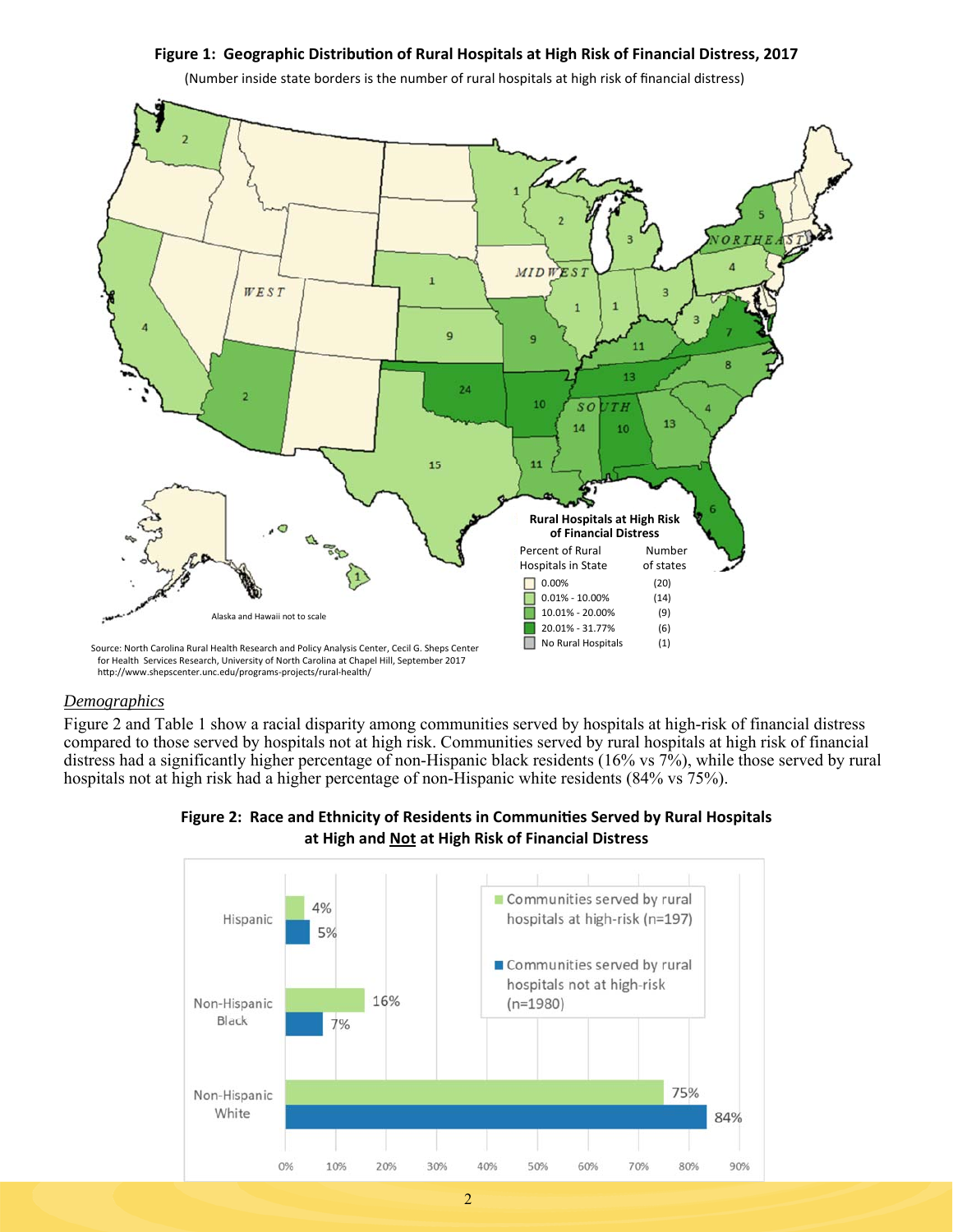#### Figure 1: Geographic Distribution of Rural Hospitals at High Risk of Financial Distress, 2017



(Number inside state borders is the number of rural hospitals at high risk of financial distress)

for Health Services Research, University of North Carolina at Chapel Hill, September 2017 http://www.shepscenter.unc.edu/programs-projects/rural-health/

#### *Demographics*

Figure 2 and Table 1 show a racial disparity among communities served by hospitals at high-risk of financial distress compared to those served by hospitals not at high risk. Communities served by rural hospitals at high risk of financial distress had a significantly higher percentage of non-Hispanic black residents (16% vs 7%), while those served by rural hospitals not at high risk had a higher percentage of non-Hispanic white residents (84% vs 75%).



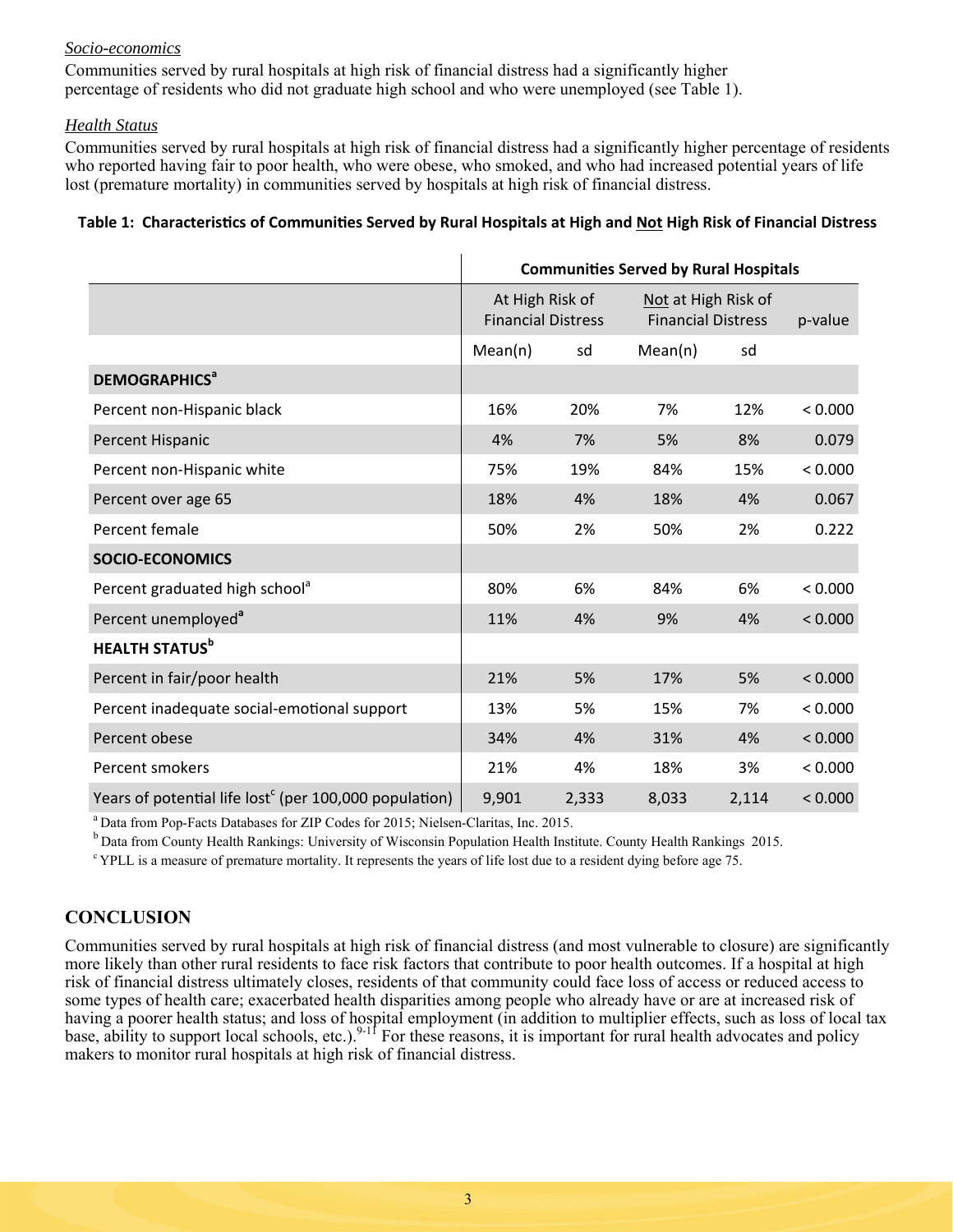#### *Socio-economics*

Communities served by rural hospitals at high risk of financial distress had a significantly higher percentage of residents who did not graduate high school and who were unemployed (see Table 1).

#### *Health Status*

Communities served by rural hospitals at high risk of financial distress had a significantly higher percentage of residents who reported having fair to poor health, who were obese, who smoked, and who had increased potential years of life lost (premature mortality) in communities served by hospitals at high risk of financial distress.

#### Table 1: Characteristics of Communities Served by Rural Hospitals at High and Not High Risk of Financial Distress

|                                                                    | <b>Communities Served by Rural Hospitals</b> |       |                                                  |       |         |
|--------------------------------------------------------------------|----------------------------------------------|-------|--------------------------------------------------|-------|---------|
|                                                                    | At High Risk of<br><b>Financial Distress</b> |       | Not at High Risk of<br><b>Financial Distress</b> |       | p-value |
|                                                                    | Mean(n)                                      | sd    | Mean(n)                                          | sd    |         |
| <b>DEMOGRAPHICS<sup>a</sup></b>                                    |                                              |       |                                                  |       |         |
| Percent non-Hispanic black                                         | 16%                                          | 20%   | 7%                                               | 12%   | < 0.000 |
| Percent Hispanic                                                   | 4%                                           | 7%    | 5%                                               | 8%    | 0.079   |
| Percent non-Hispanic white                                         | 75%                                          | 19%   | 84%                                              | 15%   | < 0.000 |
| Percent over age 65                                                | 18%                                          | 4%    | 18%                                              | 4%    | 0.067   |
| Percent female                                                     | 50%                                          | 2%    | 50%                                              | 2%    | 0.222   |
| <b>SOCIO-ECONOMICS</b>                                             |                                              |       |                                                  |       |         |
| Percent graduated high school <sup>a</sup>                         | 80%                                          | 6%    | 84%                                              | 6%    | < 0.000 |
| Percent unemployed <sup>a</sup>                                    | 11%                                          | 4%    | 9%                                               | 4%    | < 0.000 |
| <b>HEALTH STATUS</b> <sup>b</sup>                                  |                                              |       |                                                  |       |         |
| Percent in fair/poor health                                        | 21%                                          | 5%    | 17%                                              | 5%    | < 0.000 |
| Percent inadequate social-emotional support                        | 13%                                          | 5%    | 15%                                              | 7%    | < 0.000 |
| Percent obese                                                      | 34%                                          | 4%    | 31%                                              | 4%    | < 0.000 |
| Percent smokers                                                    | 21%                                          | 4%    | 18%                                              | 3%    | < 0.000 |
| Years of potential life lost <sup>c</sup> (per 100,000 population) | 9,901                                        | 2,333 | 8,033                                            | 2,114 | < 0.000 |

<sup>a</sup> Data from Pop-Facts Databases for ZIP Codes for 2015; Nielsen-Claritas, Inc. 2015.

 $\rm{^{b}}$  Data from County Health Rankings: University of Wisconsin Population Health Institute. County Health Rankings 2015.<br><sup>c</sup> YPLL is a measure of premature mortality. It represents the years of life lost due to a resi

## **CONCLUSION**

Communities served by rural hospitals at high risk of financial distress (and most vulnerable to closure) are significantly more likely than other rural residents to face risk factors that contribute to poor health outcomes. If a hospital at high risk of financial distress ultimately closes, residents of that community could face loss of access or reduced access to some types of health care; exacerbated health disparities among people who already have or are at increased risk of having a poorer health status; and loss of hospital employment (in addition to multiplier effects, such as loss of local tax base, ability to support local schools, etc.).  $9-11$  For these reasons, it is important for rural health advocates and policy makers to monitor rural hospitals at high risk of financial distress.